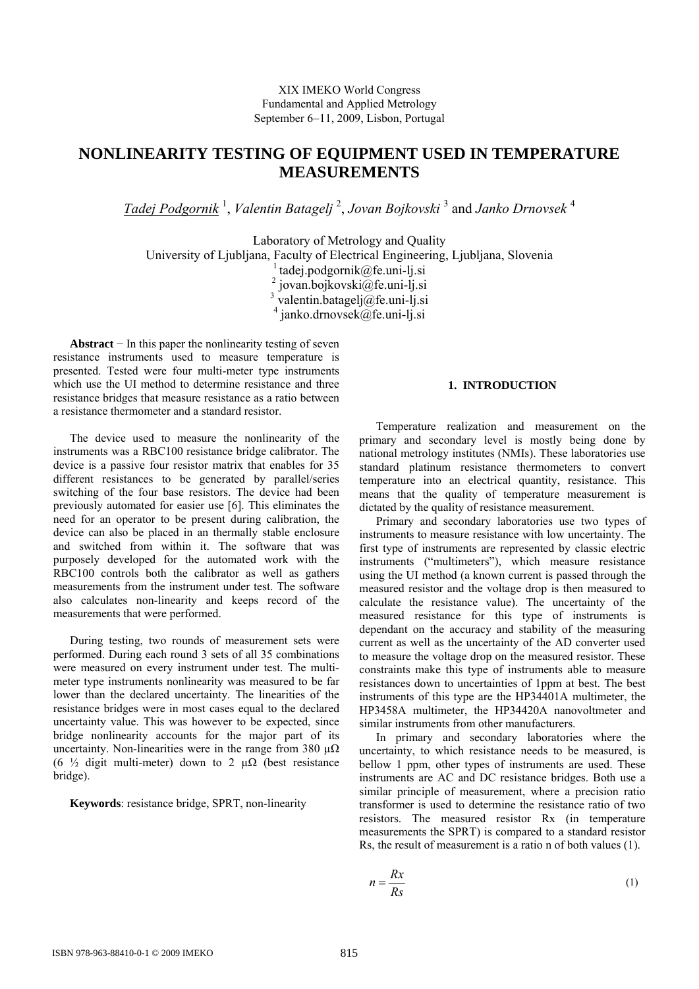## XIX IMEKO World Congress Fundamental and Applied Metrology September 6–11, 2009, Lisbon, Portugal

# **NONLINEARITY TESTING OF EQUIPMENT USED IN TEMPERATURE MEASUREMENTS**

*Tadej Podgornik* <sup>1</sup> , *Valentin Batagelj* <sup>2</sup> , *Jovan Bojkovski* <sup>3</sup> and *Janko Drnovsek* <sup>4</sup>

Laboratory of Metrology and Quality

University of Ljubljana, Faculty of Electrical Engineering, Ljubljana, Slovenia

<sup>1</sup> tadej.podgornik@fe.uni-lj.si<br>
<sup>2</sup> jovan.bojkovski@fe.uni-lj.si<br>
<sup>3</sup> valentin.batagelj@fe.uni-lj.si

4 janko.drnovsek@fe.uni-lj.si

**Abstract** − In this paper the nonlinearity testing of seven resistance instruments used to measure temperature is presented. Tested were four multi-meter type instruments which use the UI method to determine resistance and three resistance bridges that measure resistance as a ratio between a resistance thermometer and a standard resistor.

The device used to measure the nonlinearity of the instruments was a RBC100 resistance bridge calibrator. The device is a passive four resistor matrix that enables for 35 different resistances to be generated by parallel/series switching of the four base resistors. The device had been previously automated for easier use [6]. This eliminates the need for an operator to be present during calibration, the device can also be placed in an thermally stable enclosure and switched from within it. The software that was purposely developed for the automated work with the RBC100 controls both the calibrator as well as gathers measurements from the instrument under test. The software also calculates non-linearity and keeps record of the measurements that were performed.

During testing, two rounds of measurement sets were performed. During each round 3 sets of all 35 combinations were measured on every instrument under test. The multimeter type instruments nonlinearity was measured to be far lower than the declared uncertainty. The linearities of the resistance bridges were in most cases equal to the declared uncertainty value. This was however to be expected, since bridge nonlinearity accounts for the major part of its uncertainty. Non-linearities were in the range from 380  $\mu\Omega$ (6  $\frac{1}{2}$  digit multi-meter) down to 2  $\mu\Omega$  (best resistance bridge).

**Keywords**: resistance bridge, SPRT, non-linearity

#### **1. INTRODUCTION**

Temperature realization and measurement on the primary and secondary level is mostly being done by national metrology institutes (NMIs). These laboratories use standard platinum resistance thermometers to convert temperature into an electrical quantity, resistance. This means that the quality of temperature measurement is dictated by the quality of resistance measurement.

Primary and secondary laboratories use two types of instruments to measure resistance with low uncertainty. The first type of instruments are represented by classic electric instruments ("multimeters"), which measure resistance using the UI method (a known current is passed through the measured resistor and the voltage drop is then measured to calculate the resistance value). The uncertainty of the measured resistance for this type of instruments is dependant on the accuracy and stability of the measuring current as well as the uncertainty of the AD converter used to measure the voltage drop on the measured resistor. These constraints make this type of instruments able to measure resistances down to uncertainties of 1ppm at best. The best instruments of this type are the HP34401A multimeter, the HP3458A multimeter, the HP34420A nanovoltmeter and similar instruments from other manufacturers.

In primary and secondary laboratories where the uncertainty, to which resistance needs to be measured, is bellow 1 ppm, other types of instruments are used. These instruments are AC and DC resistance bridges. Both use a similar principle of measurement, where a precision ratio transformer is used to determine the resistance ratio of two resistors. The measured resistor Rx (in temperature measurements the SPRT) is compared to a standard resistor Rs, the result of measurement is a ratio n of both values (1).

$$
n = \frac{Rx}{Rs}
$$
 (1)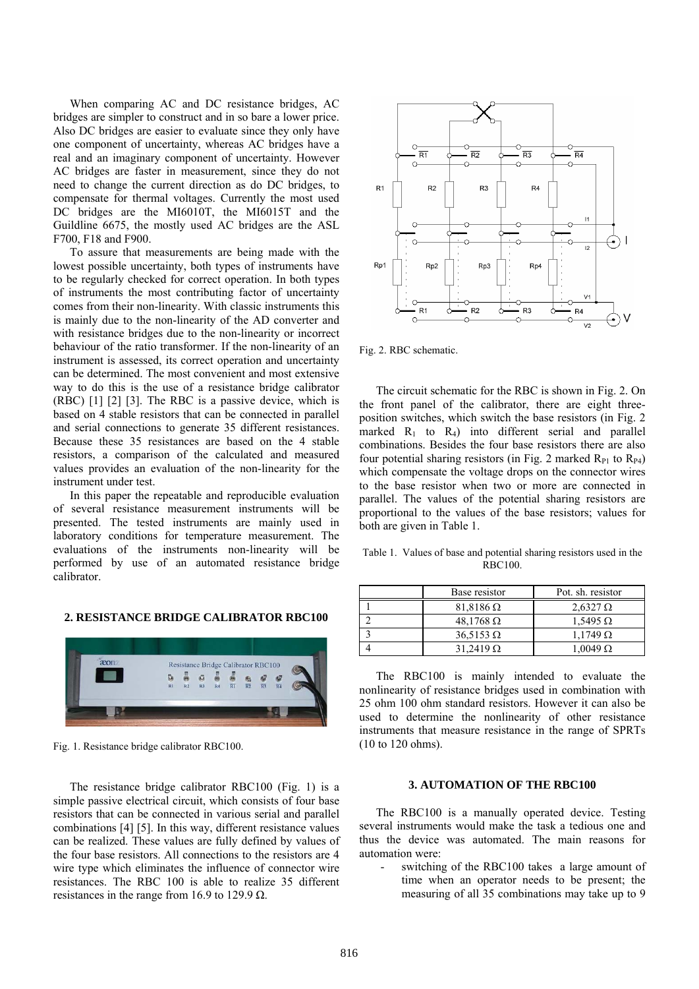When comparing AC and DC resistance bridges, AC bridges are simpler to construct and in so bare a lower price. Also DC bridges are easier to evaluate since they only have one component of uncertainty, whereas AC bridges have a real and an imaginary component of uncertainty. However AC bridges are faster in measurement, since they do not need to change the current direction as do DC bridges, to compensate for thermal voltages. Currently the most used DC bridges are the MI6010T, the MI6015T and the Guildline 6675, the mostly used AC bridges are the ASL F700, F18 and F900.

To assure that measurements are being made with the lowest possible uncertainty, both types of instruments have to be regularly checked for correct operation. In both types of instruments the most contributing factor of uncertainty comes from their non-linearity. With classic instruments this is mainly due to the non-linearity of the AD converter and with resistance bridges due to the non-linearity or incorrect behaviour of the ratio transformer. If the non-linearity of an instrument is assessed, its correct operation and uncertainty can be determined. The most convenient and most extensive way to do this is the use of a resistance bridge calibrator (RBC) [1] [2] [3]. The RBC is a passive device, which is based on 4 stable resistors that can be connected in parallel and serial connections to generate 35 different resistances. Because these 35 resistances are based on the 4 stable resistors, a comparison of the calculated and measured values provides an evaluation of the non-linearity for the instrument under test.

In this paper the repeatable and reproducible evaluation of several resistance measurement instruments will be presented. The tested instruments are mainly used in laboratory conditions for temperature measurement. The evaluations of the instruments non-linearity will be performed by use of an automated resistance bridge calibrator.

## **2. RESISTANCE BRIDGE CALIBRATOR RBC100**



Fig. 1. Resistance bridge calibrator RBC100.

The resistance bridge calibrator RBC100 (Fig. 1) is a simple passive electrical circuit, which consists of four base resistors that can be connected in various serial and parallel combinations [4] [5]. In this way, different resistance values can be realized. These values are fully defined by values of the four base resistors. All connections to the resistors are 4 wire type which eliminates the influence of connector wire resistances. The RBC 100 is able to realize 35 different resistances in the range from 16.9 to 129.9  $\Omega$ .



Fig. 2. RBC schematic.

The circuit schematic for the RBC is shown in Fig. 2. On the front panel of the calibrator, there are eight threeposition switches, which switch the base resistors (in Fig. 2 marked  $R_1$  to  $R_4$ ) into different serial and parallel combinations. Besides the four base resistors there are also four potential sharing resistors (in Fig. 2 marked  $R_{P1}$  to  $R_{P4}$ ) which compensate the voltage drops on the connector wires to the base resistor when two or more are connected in parallel. The values of the potential sharing resistors are proportional to the values of the base resistors; values for both are given in Table 1.

Table 1. Values of base and potential sharing resistors used in the RBC100.

|   | Base resistor      | Pot. sh. resistor |
|---|--------------------|-------------------|
|   | $81,8186$ $\Omega$ | $2,6327$ $\Omega$ |
|   | $48,1768$ $\Omega$ | $1.5495 \Omega$   |
| ◠ | $36.5153 \Omega$   | $1.1749 \Omega$   |
|   | $31.2419 \Omega$   | $1.0049 \Omega$   |

The RBC100 is mainly intended to evaluate the nonlinearity of resistance bridges used in combination with 25 ohm 100 ohm standard resistors. However it can also be used to determine the nonlinearity of other resistance instruments that measure resistance in the range of SPRTs (10 to 120 ohms).

#### **3. AUTOMATION OF THE RBC100**

 The RBC100 is a manually operated device. Testing several instruments would make the task a tedious one and thus the device was automated. The main reasons for automation were:

switching of the RBC100 takes a large amount of time when an operator needs to be present; the measuring of all 35 combinations may take up to 9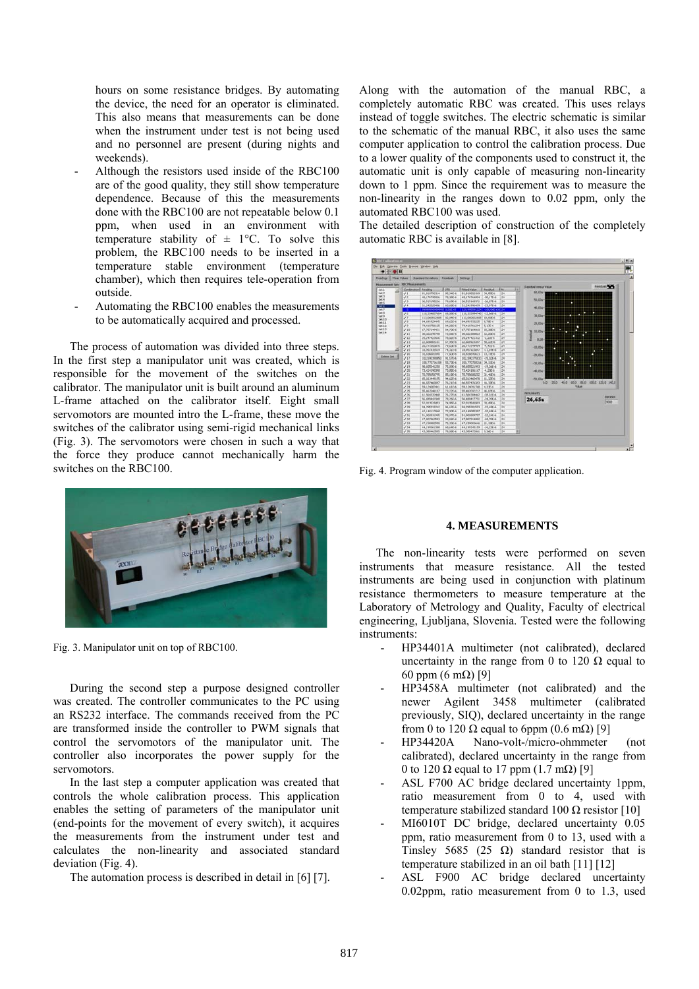hours on some resistance bridges. By automating the device, the need for an operator is eliminated. This also means that measurements can be done when the instrument under test is not being used and no personnel are present (during nights and weekends).

- Although the resistors used inside of the RBC100 are of the good quality, they still show temperature dependence. Because of this the measurements done with the RBC100 are not repeatable below 0.1 ppm, when used in an environment with temperature stability of  $\pm$  1°C. To solve this problem, the RBC100 needs to be inserted in a temperature stable environment (temperature chamber), which then requires tele-operation from outside.
- Automating the RBC100 enables the measurements to be automatically acquired and processed.

The process of automation was divided into three steps. In the first step a manipulator unit was created, which is responsible for the movement of the switches on the calibrator. The manipulator unit is built around an aluminum L-frame attached on the calibrator itself. Eight small servomotors are mounted intro the L-frame, these move the switches of the calibrator using semi-rigid mechanical links (Fig. 3). The servomotors were chosen in such a way that the force they produce cannot mechanically harm the switches on the RBC100.



Fig. 3. Manipulator unit on top of RBC100.

During the second step a purpose designed controller was created. The controller communicates to the PC using an RS232 interface. The commands received from the PC are transformed inside the controller to PWM signals that control the servomotors of the manipulator unit. The controller also incorporates the power supply for the servomotors.

In the last step a computer application was created that controls the whole calibration process. This application enables the setting of parameters of the manipulator unit (end-points for the movement of every switch), it acquires the measurements from the instrument under test and calculates the non-linearity and associated standard deviation (Fig. 4).

The automation process is described in detail in [6] [7].

Along with the automation of the manual RBC, a completely automatic RBC was created. This uses relays instead of toggle switches. The electric schematic is similar to the schematic of the manual RBC, it also uses the same computer application to control the calibration process. Due to a lower quality of the components used to construct it, the automatic unit is only capable of measuring non-linearity down to 1 ppm. Since the requirement was to measure the non-linearity in the ranges down to 0.02 ppm, only the automated RBC100 was used.

The detailed description of construction of the completely automatic RBC is available in [8].



Fig. 4. Program window of the computer application.

## **4. MEASUREMENTS**

The non-linearity tests were performed on seven instruments that measure resistance. All the tested instruments are being used in conjunction with platinum resistance thermometers to measure temperature at the Laboratory of Metrology and Quality, Faculty of electrical engineering, Ljubljana, Slovenia. Tested were the following instruments:

- HP34401A multimeter (not calibrated), declared uncertainty in the range from 0 to 120  $\Omega$  equal to 60 ppm (6 mΩ) [9]
- HP3458A multimeter (not calibrated) and the newer Agilent 3458 multimeter (calibrated previously, SIQ), declared uncertainty in the range from 0 to 120  $\Omega$  equal to 6ppm (0.6 m $\Omega$ ) [9]
- HP34420A Nano-volt-/micro-ohmmeter (not calibrated), declared uncertainty in the range from 0 to 120  $\Omega$  equal to 17 ppm (1.7 m $\Omega$ ) [9]
- ASL F700 AC bridge declared uncertainty 1ppm, ratio measurement from 0 to 4, used with temperature stabilized standard 100 Ω resistor [10]
- MI6010T DC bridge, declared uncertainty 0.05 ppm, ratio measurement from 0 to 13, used with a Tinsley 5685 (25  $\Omega$ ) standard resistor that is temperature stabilized in an oil bath [11] [12]
- ASL F900 AC bridge declared uncertainty 0.02ppm, ratio measurement from 0 to 1.3, used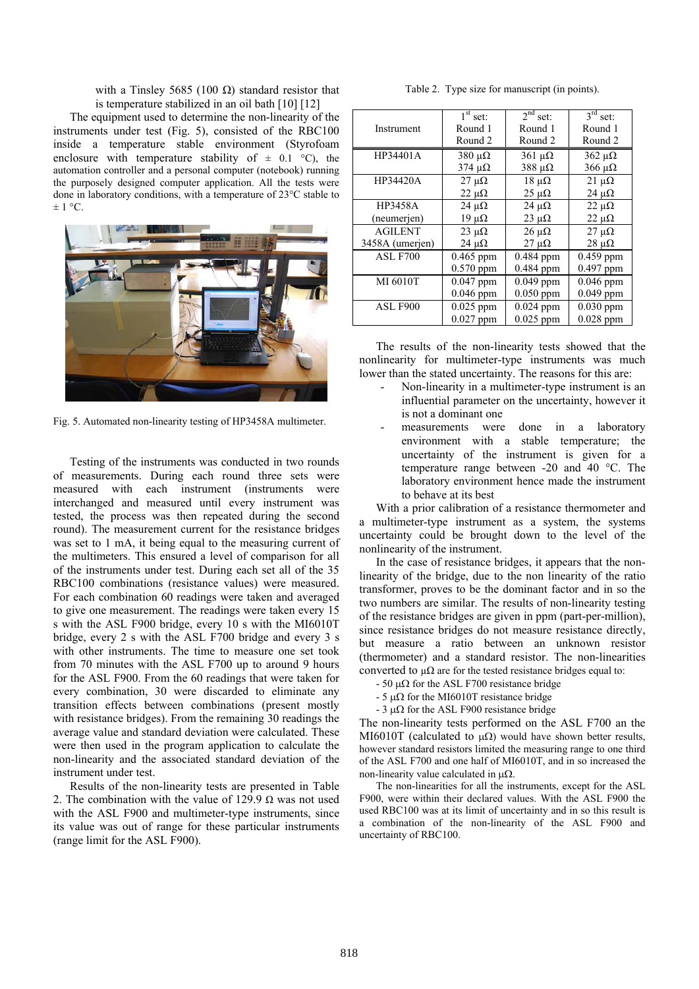with a Tinsley 5685 (100  $Ω$ ) standard resistor that is temperature stabilized in an oil bath [10] [12]

The equipment used to determine the non-linearity of the instruments under test (Fig. 5), consisted of the RBC100 inside a temperature stable environment (Styrofoam enclosure with temperature stability of  $\pm$  0.1 °C), the automation controller and a personal computer (notebook) running the purposely designed computer application. All the tests were done in laboratory conditions, with a temperature of 23°C stable to  $\pm$  1 °C.



Fig. 5. Automated non-linearity testing of HP3458A multimeter.

Testing of the instruments was conducted in two rounds of measurements. During each round three sets were measured with each instrument (instruments were interchanged and measured until every instrument was tested, the process was then repeated during the second round). The measurement current for the resistance bridges was set to 1 mA, it being equal to the measuring current of the multimeters. This ensured a level of comparison for all of the instruments under test. During each set all of the 35 RBC100 combinations (resistance values) were measured. For each combination 60 readings were taken and averaged to give one measurement. The readings were taken every 15 s with the ASL F900 bridge, every 10 s with the MI6010T bridge, every 2 s with the ASL F700 bridge and every 3 s with other instruments. The time to measure one set took from 70 minutes with the ASL F700 up to around 9 hours for the ASL F900. From the 60 readings that were taken for every combination, 30 were discarded to eliminate any transition effects between combinations (present mostly with resistance bridges). From the remaining 30 readings the average value and standard deviation were calculated. These were then used in the program application to calculate the non-linearity and the associated standard deviation of the instrument under test.

Results of the non-linearity tests are presented in Table 2. The combination with the value of 129.9  $\Omega$  was not used with the ASL F900 and multimeter-type instruments, since its value was out of range for these particular instruments (range limit for the ASL F900).

| Table 2. Type size for manuscript (in points). |  |  |
|------------------------------------------------|--|--|
|                                                |  |  |
|                                                |  |  |

|                 | $\overline{1}^{\text{st}}$ set: | $2nd$ set:              | $3rd$ set:      |
|-----------------|---------------------------------|-------------------------|-----------------|
| Instrument      | Round 1                         | Round 1                 | Round 1         |
|                 | Round 2                         | Round 2                 | Round 2         |
| HP34401A        | $380 \mu\Omega$                 | $361 \text{ }\mu\Omega$ | $362 \mu\Omega$ |
|                 | $374 \mu\Omega$                 | $388 \mu\Omega$         | $366 \mu\Omega$ |
| HP34420A        | $27 \mu\Omega$                  | $18 \mu\Omega$          | $21 \mu\Omega$  |
|                 | $22 \mu\Omega$                  | $25 \mu\Omega$          | $24 \mu\Omega$  |
| <b>HP3458A</b>  | $24 \mu\Omega$                  | $24 \mu\Omega$          | $22 \mu\Omega$  |
| (neumerjen)     | $19 \mu\Omega$                  | $23 \mu\Omega$          | $22 \mu\Omega$  |
| <b>AGILENT</b>  | $23 \mu\Omega$                  | $26 \mu\Omega$          | $27 \mu\Omega$  |
| 3458A (umerjen) | $24 \mu\Omega$                  | $27 \mu\Omega$          | $28 \mu\Omega$  |
| <b>ASL F700</b> | $0.465$ ppm                     | $0.484$ ppm             | $0.459$ ppm     |
|                 | $0.570$ ppm                     | 0.484 ppm               | 0.497 ppm       |
| MI 6010T        | 0.047 ppm                       | $0.049$ ppm             | 0.046 ppm       |
|                 | $0.046$ ppm                     | $0.050$ ppm             | $0.049$ ppm     |
| ASL F900        | $0.025$ ppm                     | $0.024$ ppm             | $0.030$ ppm     |
|                 | $0.027$ ppm                     | $0.025$ ppm             | $0.028$ ppm     |

The results of the non-linearity tests showed that the nonlinearity for multimeter-type instruments was much lower than the stated uncertainty. The reasons for this are:

- Non-linearity in a multimeter-type instrument is an influential parameter on the uncertainty, however it is not a dominant one
- measurements were done in a laboratory environment with a stable temperature; the uncertainty of the instrument is given for a temperature range between -20 and 40 °C. The laboratory environment hence made the instrument to behave at its best

With a prior calibration of a resistance thermometer and a multimeter-type instrument as a system, the systems uncertainty could be brought down to the level of the nonlinearity of the instrument.

In the case of resistance bridges, it appears that the nonlinearity of the bridge, due to the non linearity of the ratio transformer, proves to be the dominant factor and in so the two numbers are similar. The results of non-linearity testing of the resistance bridges are given in ppm (part-per-million), since resistance bridges do not measure resistance directly, but measure a ratio between an unknown resistor (thermometer) and a standard resistor. The non-linearities converted to  $\mu\Omega$  are for the tested resistance bridges equal to:

- $-50 \mu\Omega$  for the ASL F700 resistance bridge
- $-5 \mu\Omega$  for the MI6010T resistance bridge
- 3  $\mu\Omega$  for the ASL F900 resistance bridge

The non-linearity tests performed on the ASL F700 an the MI6010T (calculated to  $\mu\Omega$ ) would have shown better results, however standard resistors limited the measuring range to one third of the ASL F700 and one half of MI6010T, and in so increased the non-linearity value calculated in  $\mu\Omega$ .

 The non-linearities for all the instruments, except for the ASL F900, were within their declared values. With the ASL F900 the used RBC100 was at its limit of uncertainty and in so this result is a combination of the non-linearity of the ASL F900 and uncertainty of RBC100.